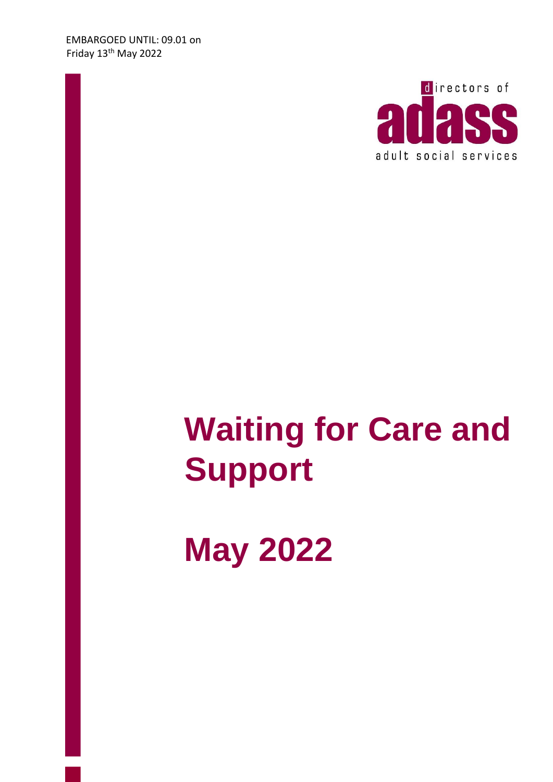

# **Waiting for Care and Support**

**May 2022**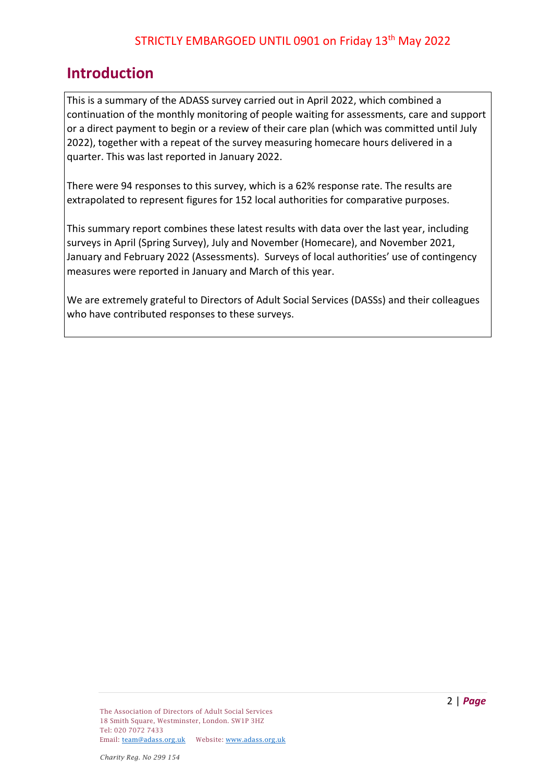## **Introduction**

This is a summary of the ADASS survey carried out in April 2022, which combined a continuation of the monthly monitoring of people waiting for assessments, care and support or a direct payment to begin or a review of their care plan (which was committed until July 2022), together with a repeat of the survey measuring homecare hours delivered in a quarter. This was last reported in January 2022.

There were 94 responses to this survey, which is a 62% response rate. The results are extrapolated to represent figures for 152 local authorities for comparative purposes.

This summary report combines these latest results with data over the last year, including surveys in April (Spring Survey), July and November (Homecare), and November 2021, January and February 2022 (Assessments). Surveys of local authorities' use of contingency measures were reported in January and March of this year.

We are extremely grateful to Directors of Adult Social Services (DASSs) and their colleagues who have contributed responses to these surveys.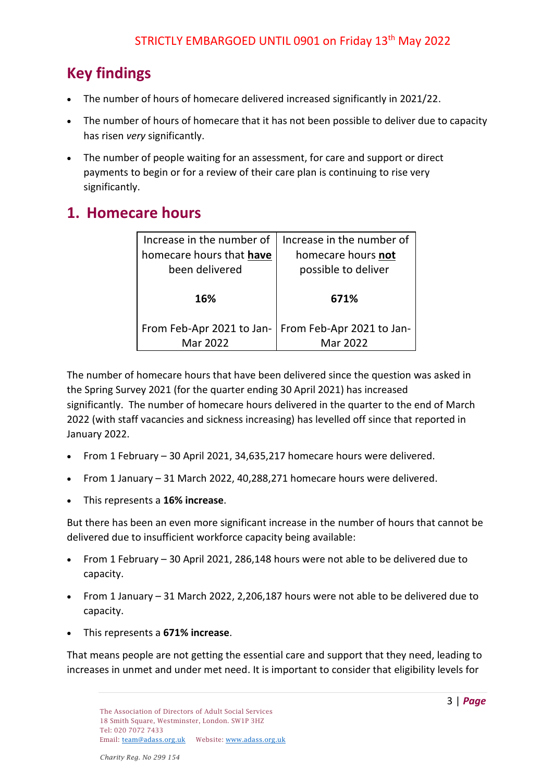## **Key findings**

- The number of hours of homecare delivered increased significantly in 2021/22.
- The number of hours of homecare that it has not been possible to deliver due to capacity has risen *very* significantly.
- The number of people waiting for an assessment, for care and support or direct payments to begin or for a review of their care plan is continuing to rise very significantly.

## **1. Homecare hours**

| Increase in the number of | Increase in the number of |  |  |  |
|---------------------------|---------------------------|--|--|--|
| homecare hours that have  | homecare hours not        |  |  |  |
| been delivered            | possible to deliver       |  |  |  |
|                           |                           |  |  |  |
| 16%                       | 671%                      |  |  |  |
|                           |                           |  |  |  |
| From Feb-Apr 2021 to Jan- | From Feb-Apr 2021 to Jan- |  |  |  |
| Mar 2022                  | Mar 2022                  |  |  |  |

The number of homecare hours that have been delivered since the question was asked in the Spring Survey 2021 (for the quarter ending 30 April 2021) has increased significantly. The number of homecare hours delivered in the quarter to the end of March 2022 (with staff vacancies and sickness increasing) has levelled off since that reported in January 2022.

- From 1 February 30 April 2021, 34,635,217 homecare hours were delivered.
- From 1 January 31 March 2022, 40,288,271 homecare hours were delivered.
- This represents a **16% increase**.

But there has been an even more significant increase in the number of hours that cannot be delivered due to insufficient workforce capacity being available:

- From 1 February 30 April 2021, 286,148 hours were not able to be delivered due to capacity.
- From 1 January 31 March 2022, 2,206,187 hours were not able to be delivered due to capacity.
- This represents a **671% increase**.

That means people are not getting the essential care and support that they need, leading to increases in unmet and under met need. It is important to consider that eligibility levels for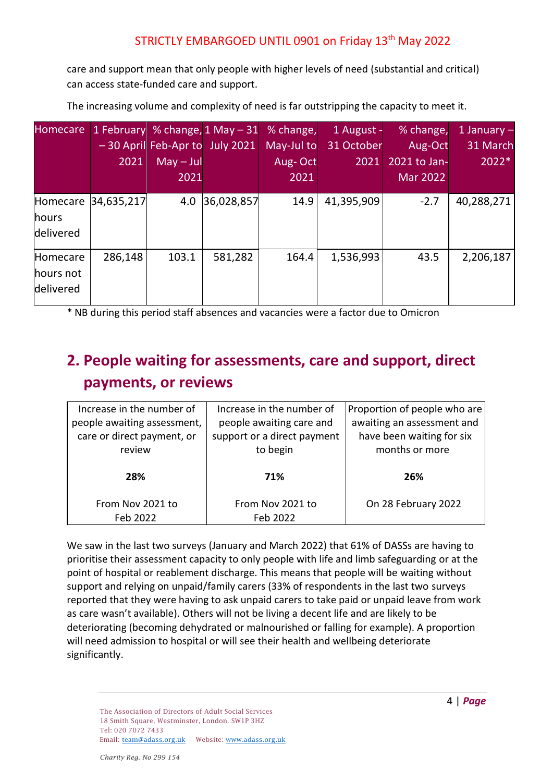care and support mean that only people with higher levels of need (substantial and critical) can access state-funded care and support.

| <b>Homecare</b>                    |            |             |                                | 1 February % change, 1 May - 31 % change, | 1 August - | % change,       | 1 January $-$ |
|------------------------------------|------------|-------------|--------------------------------|-------------------------------------------|------------|-----------------|---------------|
|                                    |            |             | -30 April Feb-Apr to July 2021 | May-Jul to                                | 31 October | Aug-Oct         | 31 March      |
|                                    | 2021       | $May - Jul$ |                                | Aug-Oct                                   | 2021       | 2021 to Jan-    | 2022*         |
|                                    |            | 2021        |                                | 2021                                      |            | <b>Mar 2022</b> |               |
| Homecare<br>hours<br>delivered     | 34,635,217 | 4.0         | 36,028,857                     | 14.9                                      | 41,395,909 | $-2.7$          | 40,288,271    |
| Homecare<br>hours not<br>delivered | 286,148    | 103.1       | 581,282                        | 164.4                                     | 1,536,993  | 43.5            | 2,206,187     |

The increasing volume and complexity of need is far outstripping the capacity to meet it.

\* NB during this period staff absences and vacancies were a factor due to Omicron

# **2. People waiting for assessments, care and support, direct payments, or reviews**

| Increase in the number of   | Increase in the number of   | Proportion of people who are |  |  |
|-----------------------------|-----------------------------|------------------------------|--|--|
| people awaiting assessment, | people awaiting care and    | awaiting an assessment and   |  |  |
| care or direct payment, or  | support or a direct payment | have been waiting for six    |  |  |
| review                      | to begin                    | months or more               |  |  |
|                             |                             |                              |  |  |
| 28%                         | 71%                         | 26%                          |  |  |
|                             |                             |                              |  |  |
| From Nov 2021 to            | From Nov 2021 to            | On 28 February 2022          |  |  |
| Feb 2022                    | Feb 2022                    |                              |  |  |

We saw in the last two surveys (January and March 2022) that 61% of DASSs are having to prioritise their assessment capacity to only people with life and limb safeguarding or at the point of hospital or reablement discharge. This means that people will be waiting without support and relying on unpaid/family carers (33% of respondents in the last two surveys reported that they were having to ask unpaid carers to take paid or unpaid leave from work as care wasn't available). Others will not be living a decent life and are likely to be deteriorating (becoming dehydrated or malnourished or falling for example). A proportion will need admission to hospital or will see their health and wellbeing deteriorate significantly.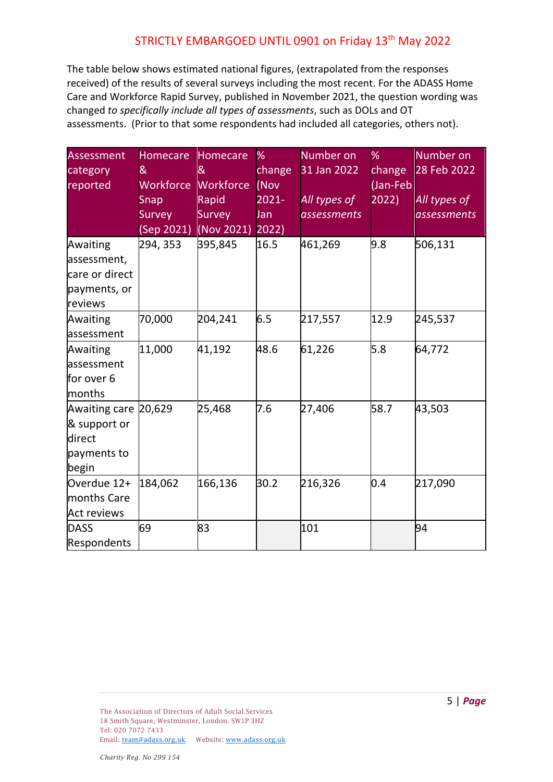The table below shows estimated national figures, (extrapolated from the responses received) of the results of several surveys including the most recent. For the ADASS Home Care and Workforce Rapid Survey, published in November 2021, the question wording was changed *to specifically include all types of assessments*, such as DOLs and OT assessments. (Prior to that some respondents had included all categories, others not).

| <b>Assessment</b><br>category<br>reported                              | <b>Homecare</b><br>&<br>Workforce<br>Snap<br><b>Survey</b><br>(Sep 2021) | Homecare<br>8<br>Workforce<br>Rapid<br>Survey<br>(Nov 2021) | %<br>change<br>(Nov<br>2021-<br><b>Jan</b><br>$ 2022\rangle$ | Number on<br>31 Jan 2022<br>All types of<br><i>assessments</i> | $\%$<br>change<br>(Jan-Feb<br>2022) | Number on<br>28 Feb 2022<br>All types of<br><i>assessments</i> |
|------------------------------------------------------------------------|--------------------------------------------------------------------------|-------------------------------------------------------------|--------------------------------------------------------------|----------------------------------------------------------------|-------------------------------------|----------------------------------------------------------------|
| Awaiting<br>assessment,<br>care or direct<br>payments, or<br>reviews   | 294, 353                                                                 | 395,845                                                     | 16.5                                                         | 461,269                                                        | 9.8                                 | 506,131                                                        |
| Awaiting<br>assessment                                                 | 70,000                                                                   | 204,241                                                     | 6.5                                                          | 217,557                                                        | 12.9                                | 245,537                                                        |
| Awaiting<br>assessment<br>for over 6<br>months                         | 11,000                                                                   | 41,192                                                      | 48.6                                                         | 61,226                                                         | 5.8                                 | 64,772                                                         |
| Awaiting care 20,629<br>& support or<br>direct<br>payments to<br>begin |                                                                          | 25,468                                                      | 7.6                                                          | 27,406                                                         | 58.7                                | 43,503                                                         |
| Overdue 12+<br>months Care<br><b>Act reviews</b>                       | 184,062                                                                  | 166,136                                                     | 30.2                                                         | 216,326                                                        | 0.4                                 | 217,090                                                        |
| <b>DASS</b><br>Respondents                                             | 69                                                                       | 83                                                          |                                                              | 101                                                            |                                     | 94                                                             |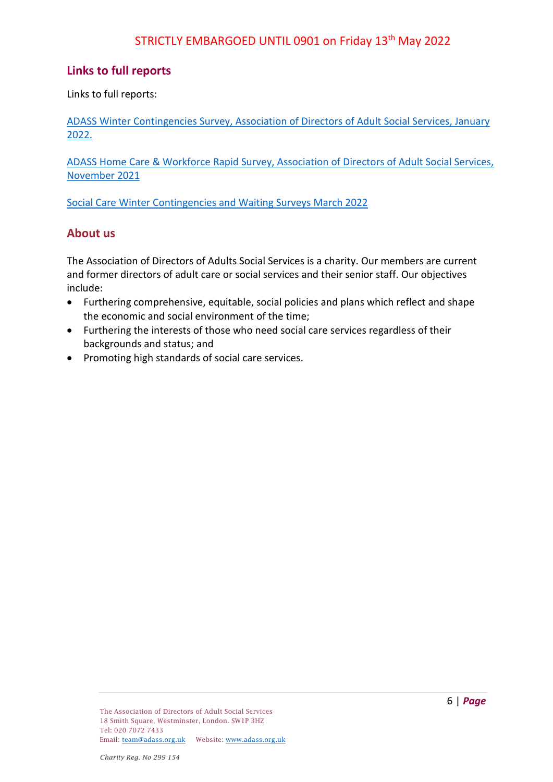#### **Links to full reports**

Links to full reports:

[ADASS Winter Contingencies Survey, Association of Directors of Adult Social Services, January](https://www.adass.org.uk/media/9078/contingency-survey-20122.pdf)  [2022.](https://www.adass.org.uk/media/9078/contingency-survey-20122.pdf) 

[ADASS Home Care & Workforce Rapid Survey, Association of Directors of Adult Social Services,](https://www.adass.org.uk/media/8987/adass-snap-survey-report-november-2021.pdf)  [November 2021](https://www.adass.org.uk/media/8987/adass-snap-survey-report-november-2021.pdf)

[Social Care Winter Contingencies and Waiting Surveys March 2022](https://www.adass.org.uk/media/9125/social-care-winter-contingencies-and-waiting-surveys-march-2022.pdf)

#### **About us**

The Association of Directors of Adults Social Services is a charity. Our members are current and former directors of adult care or social services and their senior staff. Our objectives include:

- Furthering comprehensive, equitable, social policies and plans which reflect and shape the economic and social environment of the time;
- Furthering the interests of those who need social care services regardless of their backgrounds and status; and
- Promoting high standards of social care services.